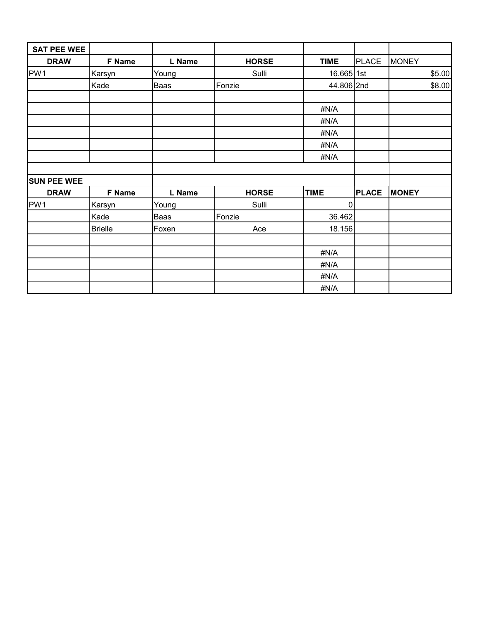| <b>SAT PEE WEE</b> |                |        |              |             |              |              |        |
|--------------------|----------------|--------|--------------|-------------|--------------|--------------|--------|
| <b>DRAW</b>        | F Name         | L Name | <b>HORSE</b> | <b>TIME</b> | <b>PLACE</b> | <b>MONEY</b> |        |
| PW1                | Karsyn         | Young  | Sulli        | 16.665 1st  |              |              | \$5.00 |
|                    | Kade           | Baas   | Fonzie       | 44.806 2nd  |              |              | \$8.00 |
|                    |                |        |              |             |              |              |        |
|                    |                |        |              | #N/A        |              |              |        |
|                    |                |        |              | #N/A        |              |              |        |
|                    |                |        |              | #N/A        |              |              |        |
|                    |                |        |              | #N/A        |              |              |        |
|                    |                |        |              | #N/A        |              |              |        |
|                    |                |        |              |             |              |              |        |
| <b>SUN PEE WEE</b> |                |        |              |             |              |              |        |
| <b>DRAW</b>        | F Name         | L Name | <b>HORSE</b> | <b>TIME</b> | <b>PLACE</b> | <b>MONEY</b> |        |
| PW1                | Karsyn         | Young  | Sulli        | $\mathbf 0$ |              |              |        |
|                    | Kade           | Baas   | Fonzie       | 36.462      |              |              |        |
|                    | <b>Brielle</b> | Foxen  | Ace          | 18.156      |              |              |        |
|                    |                |        |              |             |              |              |        |
|                    |                |        |              | #N/A        |              |              |        |
|                    |                |        |              | #N/A        |              |              |        |
|                    |                |        |              | #N/A        |              |              |        |
|                    |                |        |              | #N/A        |              |              |        |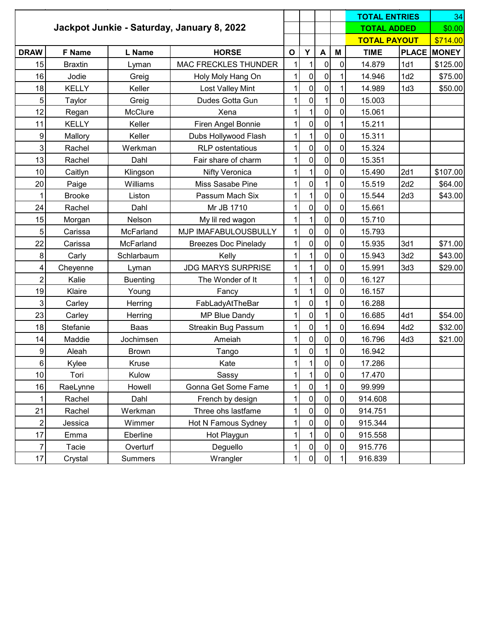|                         |                |                 |                                            |              |                |                  |             | <b>TOTAL ENTRIES</b> |                     | 34                 |
|-------------------------|----------------|-----------------|--------------------------------------------|--------------|----------------|------------------|-------------|----------------------|---------------------|--------------------|
|                         |                |                 | Jackpot Junkie - Saturday, January 8, 2022 |              |                |                  |             | <b>TOTAL ADDED</b>   |                     | \$0.00             |
|                         |                |                 |                                            |              |                |                  |             |                      | <b>TOTAL PAYOUT</b> |                    |
| <b>DRAW</b>             | F Name         | L Name          | <b>HORSE</b>                               | $\mathbf{o}$ | Y              | $\blacktriangle$ | М           | <b>TIME</b>          |                     | <b>PLACE MONEY</b> |
| 15                      | <b>Braxtin</b> | Lyman           | MAC FRECKLES THUNDER                       | 1            | 1              | 0                | 0           | 14.879               | 1d1                 | \$125.00           |
| 16                      | Jodie          | Greig           | Holy Moly Hang On                          | $\mathbf{1}$ | $\mathbf 0$    | 0                | 1           | 14.946               | 1d2                 | \$75.00            |
| 18                      | <b>KELLY</b>   | Keller          | <b>Lost Valley Mint</b>                    | 1            | $\mathbf 0$    | 0                | 1           | 14.989               | 1d3                 | \$50.00            |
| 5                       | Taylor         | Greig           | Dudes Gotta Gun                            | $\mathbf{1}$ | $\overline{0}$ | 1                | 0           | 15.003               |                     |                    |
| 12                      | Regan          | McClure         | Xena                                       | 1            | 1              | 0                | 0           | 15.061               |                     |                    |
| 11                      | <b>KELLY</b>   | Keller          | Firen Angel Bonnie                         | 1            | $\overline{0}$ | $\mathbf 0$      | $\mathbf 1$ | 15.211               |                     |                    |
| $\boldsymbol{9}$        | Mallory        | Keller          | Dubs Hollywood Flash                       | 1            | 1              | $\mathbf 0$      | 0           | 15.311               |                     |                    |
| 3                       | Rachel         | Werkman         | <b>RLP</b> ostentatious                    | 1            | $\mathbf 0$    | $\mathbf 0$      | $\mathbf 0$ | 15.324               |                     |                    |
| 13                      | Rachel         | Dahl            | Fair share of charm                        | 1            | $\mathbf 0$    | 0                | 0           | 15.351               |                     |                    |
| 10                      | Caitlyn        | Klingson        | <b>Nifty Veronica</b>                      | 1            | 1              | 0                | 0           | 15.490               | 2d1                 | \$107.00           |
| 20                      | Paige          | Williams        | Miss Sasabe Pine                           | 1            | $\mathbf 0$    | 1                | $\mathbf 0$ | 15.519               | 2d2                 | \$64.00            |
| 1                       | <b>Brooke</b>  | Liston          | Passum Mach Six                            | 1            | 1              | 0                | $\pmb{0}$   | 15.544               | 2d3                 | \$43.00            |
| 24                      | Rachel         | Dahl            | Mr JB 1710                                 | 1            | $\mathbf 0$    | $\pmb{0}$        | $\pmb{0}$   | 15.661               |                     |                    |
| 15                      | Morgan         | Nelson          | My lil red wagon                           | 1            | 1              | 0                | 0           | 15.710               |                     |                    |
| 5                       | Carissa        | McFarland       | MJP IMAFABULOUSBULLY                       | $\mathbf{1}$ | $\mathbf 0$    | 0                | 0           | 15.793               |                     |                    |
| 22                      | Carissa        | McFarland       | <b>Breezes Doc Pinelady</b>                | 1            | 0              | 0                | 0           | 15.935               | 3d1                 | \$71.00            |
| 8                       | Carly          | Schlarbaum      | Kelly                                      | 1            | 1              | 0                | 0           | 15.943               | 3d2                 | \$43.00            |
| 4                       | Cheyenne       | Lyman           | <b>JDG MARYS SURPRISE</b>                  | 1            | 1              | 0                | 0           | 15.991               | 3d3                 | \$29.00            |
| $\overline{\mathbf{c}}$ | Kalie          | <b>Buenting</b> | The Wonder of It                           | 1            | 1              | $\pmb{0}$        | $\pmb{0}$   | 16.127               |                     |                    |
| 19                      | Klaire         | Young           | Fancy                                      | 1            | 1              | 0                | 0           | 16.157               |                     |                    |
| 3                       | Carley         | Herring         | FabLadyAtTheBar                            | 1            | $\mathbf 0$    | 1                | 0           | 16.288               |                     |                    |
| 23                      | Carley         | Herring         | MP Blue Dandy                              | 1            | $\mathbf 0$    | 1                | 0           | 16.685               | 4d1                 | \$54.00            |
| 18                      | Stefanie       | Baas            | <b>Streakin Bug Passum</b>                 | 1            | $\mathbf 0$    | 1                | 0           | 16.694               | 4d2                 | \$32.00            |
| 14                      | Maddie         | Jochimsen       | Ameiah                                     | 1            | $\mathbf 0$    | 0                | $\pmb{0}$   | 16.796               | 4d3                 | \$21.00            |
| $\boldsymbol{9}$        | Aleah          | <b>Brown</b>    | Tango                                      | 1            | $\pmb{0}$      | 1                | 0           | 16.942               |                     |                    |
| $\,6$                   | Kylee          | Kruse           | Kate                                       | $\mathbf{1}$ | 1              | $\pmb{0}$        | $\pmb{0}$   | 17.286               |                     |                    |
| 10                      | Tori           | Kulow           | Sassy                                      |              |                | 0                | 0           | 17.470               |                     |                    |
| 16                      | RaeLynne       | Howell          | Gonna Get Some Fame                        |              | $\mathbf 0$    |                  | 0           | 99.999               |                     |                    |
| 1                       | Rachel         | Dahl            | French by design                           | 1            | 0              | 0                | 0           | 914.608              |                     |                    |
| 21                      | Rachel         | Werkman         | Three ohs lastfame                         |              | 0              | $\mathbf 0$      | $\pmb{0}$   | 914.751              |                     |                    |
| $\overline{c}$          | Jessica        | Wimmer          | Hot N Famous Sydney                        | 1            | 0              | 0                | 0           | 915.344              |                     |                    |
| 17                      | Emma           | Eberline        | Hot Playgun                                | 1            | 1              | $\mathbf 0$      | $\pmb{0}$   | 915.558              |                     |                    |
| $\overline{7}$          | Tacie          | Overturf        | Deguello                                   | 1            | 0              | $\pmb{0}$        | 0           | 915.776              |                     |                    |
| 17                      | Crystal        | <b>Summers</b>  | Wrangler                                   |              | $\mathbf 0$    | 0                | 1           | 916.839              |                     |                    |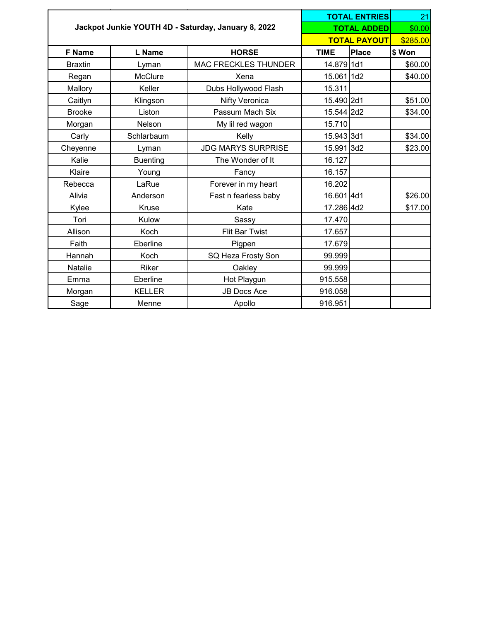|                |                 |                                                     |             | <b>TOTAL ENTRIES</b> | 21      |  |
|----------------|-----------------|-----------------------------------------------------|-------------|----------------------|---------|--|
|                |                 | Jackpot Junkie YOUTH 4D - Saturday, January 8, 2022 |             | <b>TOTAL ADDED</b>   | \$0.00  |  |
|                |                 |                                                     |             | <b>TOTAL PAYOUT</b>  |         |  |
| F Name         | L Name          | <b>HORSE</b>                                        | <b>TIME</b> | <b>Place</b>         | \$ Won  |  |
| <b>Braxtin</b> | Lyman           | <b>MAC FRECKLES THUNDER</b>                         | 14.879 1d1  |                      | \$60.00 |  |
| Regan          | McClure         | Xena                                                | 15.061 1d2  |                      | \$40.00 |  |
| Mallory        | Keller          | Dubs Hollywood Flash                                | 15.311      |                      |         |  |
| Caitlyn        | Klingson        | Nifty Veronica                                      | 15.490 2d1  |                      | \$51.00 |  |
| <b>Brooke</b>  | Liston          | Passum Mach Six                                     | 15.544 2d2  |                      | \$34.00 |  |
| Morgan         | Nelson          | My lil red wagon                                    | 15.710      |                      |         |  |
| Carly          | Schlarbaum      | Kelly                                               | 15.943 3d1  |                      | \$34.00 |  |
| Cheyenne       | Lyman           | <b>JDG MARYS SURPRISE</b>                           | 15.991 3d2  |                      | \$23.00 |  |
| Kalie          | <b>Buenting</b> | The Wonder of It                                    | 16.127      |                      |         |  |
| Klaire         | Young           | Fancy                                               | 16.157      |                      |         |  |
| Rebecca        | LaRue           | Forever in my heart                                 | 16.202      |                      |         |  |
| Alivia         | Anderson        | Fast n fearless baby                                | 16.601 4d1  |                      | \$26.00 |  |
| Kylee          | Kruse           | Kate                                                | 17.286 4d2  |                      | \$17.00 |  |
| Tori           | Kulow           | Sassy                                               | 17.470      |                      |         |  |
| Allison        | Koch            | Flit Bar Twist                                      | 17.657      |                      |         |  |
| Faith          | Eberline        | Pigpen                                              | 17.679      |                      |         |  |
| Hannah         | Koch            | SQ Heza Frosty Son                                  | 99.999      |                      |         |  |
| Natalie        | Riker           | Oakley                                              | 99.999      |                      |         |  |
| Emma           | Eberline        | Hot Playgun                                         | 915.558     |                      |         |  |
| Morgan         | <b>KELLER</b>   | <b>JB Docs Ace</b>                                  | 916.058     |                      |         |  |
| Sage           | Menne           | Apollo                                              | 916.951     |                      |         |  |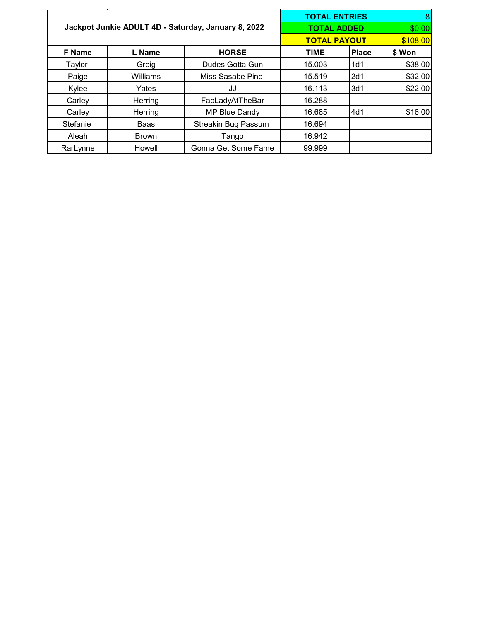|                                                     |              | <b>TOTAL ENTRIES</b> | 8                   |              |          |
|-----------------------------------------------------|--------------|----------------------|---------------------|--------------|----------|
| Jackpot Junkie ADULT 4D - Saturday, January 8, 2022 |              |                      | <b>TOTAL ADDED</b>  |              | \$0.00   |
|                                                     |              |                      | <b>TOTAL PAYOUT</b> |              | \$108.00 |
| <b>F</b> Name                                       | L Name       | <b>HORSE</b>         | <b>TIME</b>         | <b>Place</b> | \$ Won   |
| Taylor                                              | Greig        | Dudes Gotta Gun      | 15.003              | 1d1          | \$38.00  |
| Paige                                               | Williams     | Miss Sasabe Pine     | 15.519              | 2d1          | \$32.00  |
| Kylee                                               | Yates        | JJ                   | 16.113              | 3d1          | \$22.00  |
| Carley                                              | Herring      | FabLadyAtTheBar      | 16.288              |              |          |
| Carley                                              | Herring      | MP Blue Dandy        | 16.685              | 4d1          | \$16.00  |
| Stefanie                                            | Baas         | Streakin Bug Passum  | 16.694              |              |          |
| Aleah                                               | <b>Brown</b> | Tango                | 16.942              |              |          |
| RarLynne                                            | Howell       | Gonna Get Some Fame  | 99.999              |              |          |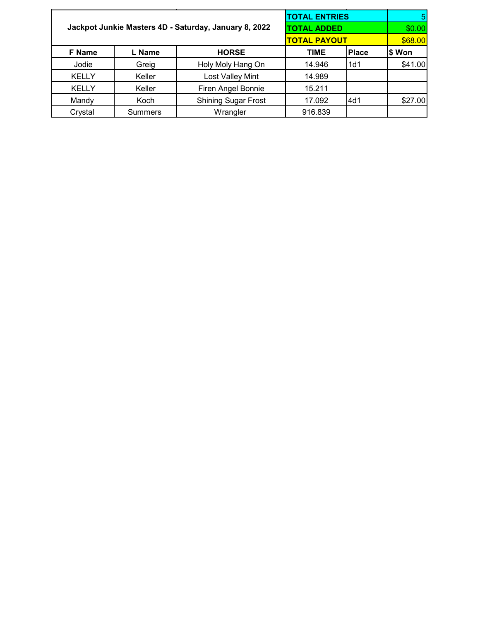|                                                       |                    |                            | <b>TOTAL ENTRIES</b> |              |         |
|-------------------------------------------------------|--------------------|----------------------------|----------------------|--------------|---------|
| Jackpot Junkie Masters 4D - Saturday, January 8, 2022 | <b>TOTAL ADDED</b> | \$0.00                     |                      |              |         |
|                                                       |                    |                            | <b>TOTAL PAYOUT</b>  |              | \$68.00 |
| <b>F</b> Name                                         | L Name             | <b>HORSE</b>               | <b>TIME</b>          | <b>Place</b> | \$ Won  |
| Jodie                                                 | Greig              | Holy Moly Hang On          | 14.946               | 1d1          | \$41.00 |
| <b>KELLY</b>                                          | Keller             | Lost Valley Mint           | 14.989               |              |         |
| <b>KELLY</b>                                          | Keller             | Firen Angel Bonnie         | 15.211               |              |         |
| Mandy                                                 | Koch               | <b>Shining Sugar Frost</b> | 17.092               | l4d1         | \$27.00 |
| Crystal                                               | <b>Summers</b>     | Wrangler                   | 916.839              |              |         |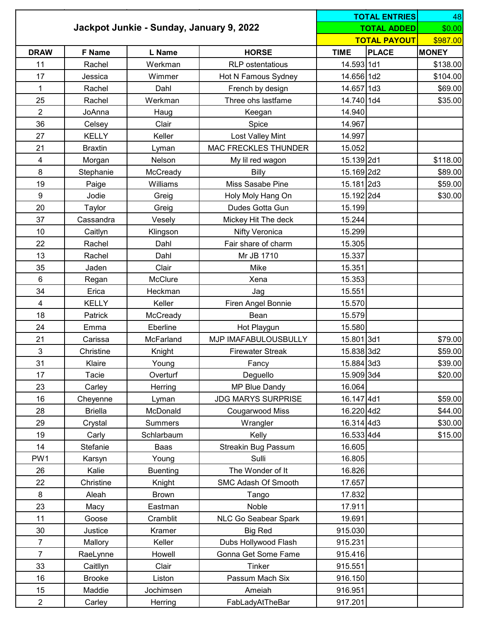|                                          |                |                 | <b>TOTAL ENTRIES</b>        |                     | 48           |              |
|------------------------------------------|----------------|-----------------|-----------------------------|---------------------|--------------|--------------|
| Jackpot Junkie - Sunday, January 9, 2022 |                |                 | <b>TOTAL ADDED</b>          | \$0.00              |              |              |
|                                          |                |                 |                             | <b>TOTAL PAYOUT</b> | \$987.00     |              |
| <b>DRAW</b>                              | <b>F</b> Name  | <b>L</b> Name   | <b>HORSE</b>                | <b>TIME</b>         | <b>PLACE</b> | <b>MONEY</b> |
| 11                                       | Rachel         | Werkman         | <b>RLP</b> ostentatious     | 14.593 1d1          |              | \$138.00     |
| 17                                       | Jessica        | Wimmer          | Hot N Famous Sydney         | 14.656 1d2          |              | \$104.00     |
| $\mathbf{1}$                             | Rachel         | Dahl            | French by design            | 14.657 1d3          |              | \$69.00      |
| 25                                       | Rachel         | Werkman         | Three ohs lastfame          | 14.740 1d4          |              | \$35.00      |
| $\overline{2}$                           | JoAnna         | Haug            | Keegan                      | 14.940              |              |              |
| 36                                       | Celsey         | Clair           | Spice                       | 14.967              |              |              |
| 27                                       | <b>KELLY</b>   | Keller          | Lost Valley Mint            | 14.997              |              |              |
| 21                                       | <b>Braxtin</b> | Lyman           | <b>MAC FRECKLES THUNDER</b> | 15.052              |              |              |
| 4                                        | Morgan         | Nelson          | My lil red wagon            | 15.139 2d1          |              | \$118.00     |
| 8                                        | Stephanie      | McCready        | Billy                       | 15.169 2d2          |              | \$89.00      |
| 19                                       | Paige          | Williams        | Miss Sasabe Pine            | 15.181 2d3          |              | \$59.00      |
| 9                                        | Jodie          | Greig           | Holy Moly Hang On           | 15.192 2d4          |              | \$30.00      |
| 20                                       | Taylor         | Greig           | Dudes Gotta Gun             | 15.199              |              |              |
| 37                                       | Cassandra      | Vesely          | Mickey Hit The deck         | 15.244              |              |              |
| 10                                       | Caitlyn        | Klingson        | Nifty Veronica              | 15.299              |              |              |
| 22                                       | Rachel         | Dahl            | Fair share of charm         | 15.305              |              |              |
| 13                                       | Rachel         | Dahl            | Mr JB 1710                  | 15.337              |              |              |
| 35                                       | Jaden          | Clair           | Mike                        | 15.351              |              |              |
| 6                                        | Regan          | McClure         | Xena                        | 15.353              |              |              |
| 34                                       | Erica          | Heckman         | Jag                         | 15.551              |              |              |
| 4                                        | <b>KELLY</b>   | Keller          | Firen Angel Bonnie          | 15.570              |              |              |
| 18                                       | Patrick        | McCready        | Bean                        | 15.579              |              |              |
| 24                                       | Emma           | Eberline        | Hot Playgun                 | 15.580              |              |              |
| 21                                       | Carissa        | McFarland       | MJP IMAFABULOUSBULLY        | 15.801 3d1          |              | \$79.00      |
| 3                                        | Christine      | Knight          | <b>Firewater Streak</b>     | 15.838 3d2          |              | \$59.00      |
| 31                                       | Klaire         | Young           | Fancy                       | 15.884 3d3          |              | \$39.00      |
| 17                                       | Tacie          | Overturf        | Deguello                    | 15.909 3d4          |              | \$20.00      |
| 23                                       | Carley         | Herring         | MP Blue Dandy               | 16.064              |              |              |
| 16                                       | Cheyenne       | Lyman           | <b>JDG MARYS SURPRISE</b>   | 16.147 4d1          |              | \$59.00      |
| 28                                       | <b>Briella</b> | McDonald        | Cougarwood Miss             | 16.220 4d2          |              | \$44.00      |
| 29                                       | Crystal        | <b>Summers</b>  | Wrangler                    | 16.314 4d3          |              | \$30.00      |
| 19                                       | Carly          | Schlarbaum      | Kelly                       | 16.533 4d4          |              | \$15.00      |
| 14                                       | Stefanie       | Baas            | <b>Streakin Bug Passum</b>  | 16.605              |              |              |
| PW1                                      | Karsyn         | Young           | Sulli                       | 16.805              |              |              |
| 26                                       | Kalie          | <b>Buenting</b> | The Wonder of It            | 16.826              |              |              |
| 22                                       | Christine      | Knight          | SMC Adash Of Smooth         | 17.657              |              |              |
| 8                                        | Aleah          | <b>Brown</b>    | Tango                       | 17.832              |              |              |
| 23                                       | Macy           | Eastman         | Noble                       | 17.911              |              |              |
| 11                                       | Goose          | Cramblit        | NLC Go Seabear Spark        | 19.691              |              |              |
| 30                                       | Justice        | Kramer          | <b>Big Red</b>              | 915.030             |              |              |
| $\overline{7}$                           | Mallory        | Keller          | Dubs Hollywood Flash        | 915.231             |              |              |
| $\overline{7}$                           | RaeLynne       | Howell          | Gonna Get Some Fame         | 915.416             |              |              |
| 33                                       | Caitllyn       | Clair           | Tinker                      | 915.551             |              |              |
| 16                                       | <b>Brooke</b>  | Liston          | Passum Mach Six             | 916.150             |              |              |
| 15                                       | Maddie         | Jochimsen       | Ameiah                      | 916.951             |              |              |
| $\overline{2}$                           | Carley         | Herring         | FabLadyAtTheBar             | 917.201             |              |              |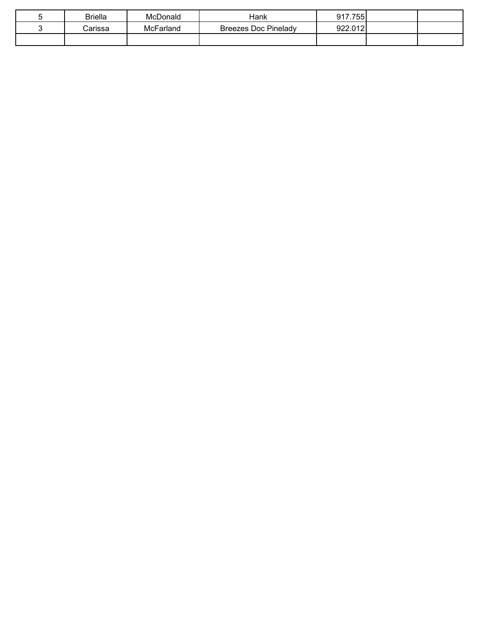| Briella | McDonald         | Hank                        | 917.755 |  |
|---------|------------------|-----------------------------|---------|--|
| Carissa | <b>McFarland</b> | <b>Breezes Doc Pinelady</b> | 922.012 |  |
|         |                  |                             |         |  |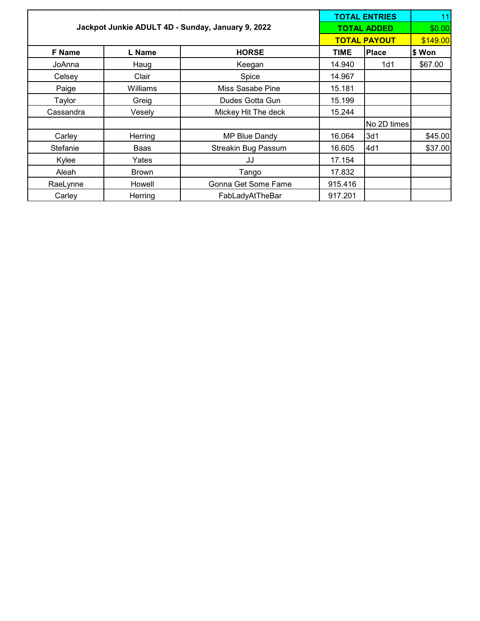|               |                                                   |                            | <b>TOTAL ENTRIES</b> | 11          |         |
|---------------|---------------------------------------------------|----------------------------|----------------------|-------------|---------|
|               | Jackpot Junkie ADULT 4D - Sunday, January 9, 2022 |                            | <b>TOTAL ADDED</b>   | \$0.00      |         |
|               |                                                   |                            | <b>TOTAL PAYOUT</b>  | \$149.00    |         |
| <b>F</b> Name | L Name                                            | <b>HORSE</b>               | <b>TIME</b>          | Place       | \$ Won  |
| JoAnna        | Haug                                              | Keegan                     | 14.940               | 1d1         | \$67.00 |
| Celsey        | Clair                                             | Spice                      | 14.967               |             |         |
| Paige         | Williams                                          | Miss Sasabe Pine           | 15.181               |             |         |
| Taylor        | Greig                                             | Dudes Gotta Gun            | 15.199               |             |         |
| Cassandra     | Vesely                                            | Mickey Hit The deck        | 15.244               |             |         |
|               |                                                   |                            |                      | No 2D times |         |
| Carley        | Herring                                           | MP Blue Dandy              | 16.064               | 3d1         | \$45.00 |
| Stefanie      | Baas                                              | <b>Streakin Bug Passum</b> | 16.605               | 4d1         | \$37.00 |
| Kylee         | Yates                                             | JJ                         | 17.154               |             |         |
| Aleah         | <b>Brown</b>                                      | Tango                      | 17.832               |             |         |
| RaeLynne      | Howell                                            | Gonna Get Some Fame        | 915.416              |             |         |
| Carley        | Herring                                           | FabLadyAtTheBar            | 917.201              |             |         |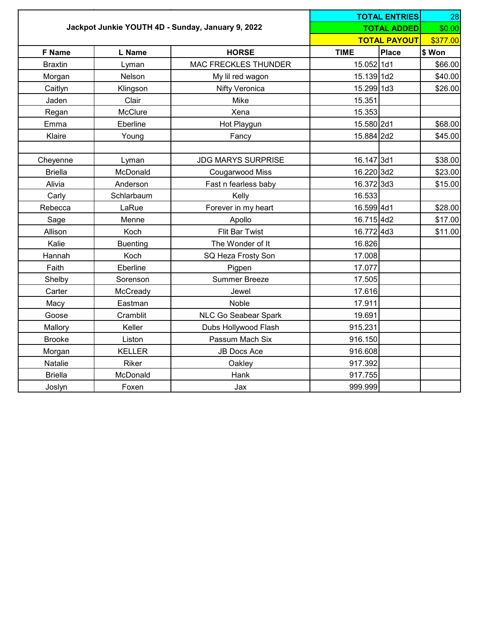|                |                 |                                                   |             |                     | <b>TOTAL ENTRIES</b><br>28 |  |
|----------------|-----------------|---------------------------------------------------|-------------|---------------------|----------------------------|--|
|                |                 | Jackpot Junkie YOUTH 4D - Sunday, January 9, 2022 |             | <b>TOTAL ADDED</b>  | \$0.00                     |  |
|                |                 |                                                   |             | <b>TOTAL PAYOUT</b> | \$377.00                   |  |
| <b>F</b> Name  | L Name          | <b>HORSE</b>                                      | <b>TIME</b> | Place               | \$ Won                     |  |
| <b>Braxtin</b> | Lyman           | <b>MAC FRECKLES THUNDER</b>                       | 15.052 1d1  |                     | \$66.00                    |  |
| Morgan         | Nelson          | My lil red wagon                                  | 15.139 1d2  |                     | \$40.00                    |  |
| Caitlyn        | Klingson        | Nifty Veronica                                    | 15.299 1d3  |                     | \$26.00                    |  |
| Jaden          | Clair           | Mike                                              | 15.351      |                     |                            |  |
| Regan          | McClure         | Xena                                              | 15.353      |                     |                            |  |
| Emma           | Eberline        | Hot Playgun                                       | 15.580 2d1  |                     | \$68.00                    |  |
| Klaire         | Young           | Fancy                                             | 15.884 2d2  |                     | \$45.00                    |  |
| Cheyenne       | Lyman           | <b>JDG MARYS SURPRISE</b>                         | 16.147 3d1  |                     | \$38.00                    |  |
| <b>Briella</b> | McDonald        | Cougarwood Miss                                   | 16.220 3d2  |                     | \$23.00                    |  |
| Alivia         | Anderson        | Fast n fearless baby                              | 16.372 3d3  |                     | \$15.00                    |  |
| Carly          | Schlarbaum      | Kelly                                             | 16.533      |                     |                            |  |
| Rebecca        | LaRue           | Forever in my heart                               | 16.599 4d1  |                     | \$28.00                    |  |
| Sage           | Menne           | Apollo                                            | 16.715 4d2  |                     | \$17.00                    |  |
| Allison        | Koch            | Flit Bar Twist                                    | 16.772 4d3  |                     | \$11.00                    |  |
| Kalie          | <b>Buenting</b> | The Wonder of It                                  | 16.826      |                     |                            |  |
| Hannah         | Koch            | SQ Heza Frosty Son                                | 17.008      |                     |                            |  |
| Faith          | Eberline        | Pigpen                                            | 17.077      |                     |                            |  |
| Shelby         | Sorenson        | <b>Summer Breeze</b>                              | 17.505      |                     |                            |  |
| Carter         | McCready        | Jewel                                             | 17.616      |                     |                            |  |
| Macy           | Eastman         | Noble                                             | 17.911      |                     |                            |  |
| Goose          | Cramblit        | NLC Go Seabear Spark                              | 19.691      |                     |                            |  |
| Mallory        | Keller          | Dubs Hollywood Flash                              | 915.231     |                     |                            |  |
| <b>Brooke</b>  | Liston          | Passum Mach Six                                   | 916.150     |                     |                            |  |
| Morgan         | <b>KELLER</b>   | <b>JB Docs Ace</b>                                | 916.608     |                     |                            |  |
| Natalie        | Riker           | Oakley                                            | 917.392     |                     |                            |  |
| <b>Briella</b> | McDonald        | Hank                                              | 917.755     |                     |                            |  |
| Joslyn         | Foxen           | Jax                                               | 999.999     |                     |                            |  |